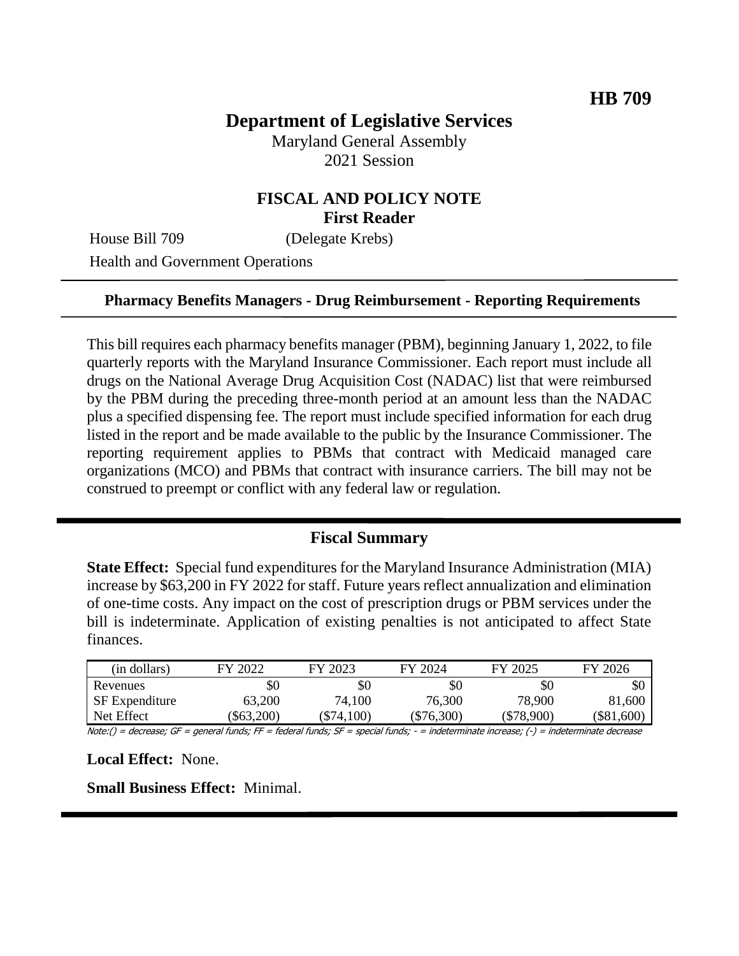# **Department of Legislative Services**

Maryland General Assembly 2021 Session

### **FISCAL AND POLICY NOTE First Reader**

House Bill 709 (Delegate Krebs)

Health and Government Operations

#### **Pharmacy Benefits Managers - Drug Reimbursement - Reporting Requirements**

This bill requires each pharmacy benefits manager (PBM), beginning January 1, 2022, to file quarterly reports with the Maryland Insurance Commissioner. Each report must include all drugs on the National Average Drug Acquisition Cost (NADAC) list that were reimbursed by the PBM during the preceding three-month period at an amount less than the NADAC plus a specified dispensing fee. The report must include specified information for each drug listed in the report and be made available to the public by the Insurance Commissioner. The reporting requirement applies to PBMs that contract with Medicaid managed care organizations (MCO) and PBMs that contract with insurance carriers. The bill may not be construed to preempt or conflict with any federal law or regulation.

#### **Fiscal Summary**

**State Effect:** Special fund expenditures for the Maryland Insurance Administration (MIA) increase by \$63,200 in FY 2022 for staff. Future years reflect annualization and elimination of one-time costs. Any impact on the cost of prescription drugs or PBM services under the bill is indeterminate. Application of existing penalties is not anticipated to affect State finances.

| (in dollars)                              | FY 2022                                                                                                                                       | FY 2023      | FY 2024      | FY 2025      | FY 2026      |
|-------------------------------------------|-----------------------------------------------------------------------------------------------------------------------------------------------|--------------|--------------|--------------|--------------|
| Revenues                                  | \$0                                                                                                                                           | \$0          | \$0          | \$0          | \$0          |
| <b>SF</b> Expenditure                     | 63,200                                                                                                                                        | 74,100       | 76,300       | 78,900       | 81,600       |
| Net Effect                                | \$63,200                                                                                                                                      | $(\$74,100)$ | $(\$76,300)$ | $(\$78,900)$ | $(\$81,600)$ |
| 1.1.1.71<br>$\mathcal{A}$ . $\mathcal{A}$ | $\mathcal{L}$ . $\mathcal{L}$ . $\mathcal{L}$ . $\mathcal{L}$ . $\mathcal{L}$ . $\mathcal{L}$ . $\mathcal{L}$ . $\mathcal{L}$ . $\mathcal{L}$ |              |              |              |              |

Note:() = decrease; GF = general funds; FF = federal funds; SF = special funds; - = indeterminate increase; (-) = indeterminate decrease

**Local Effect:** None.

**Small Business Effect:** Minimal.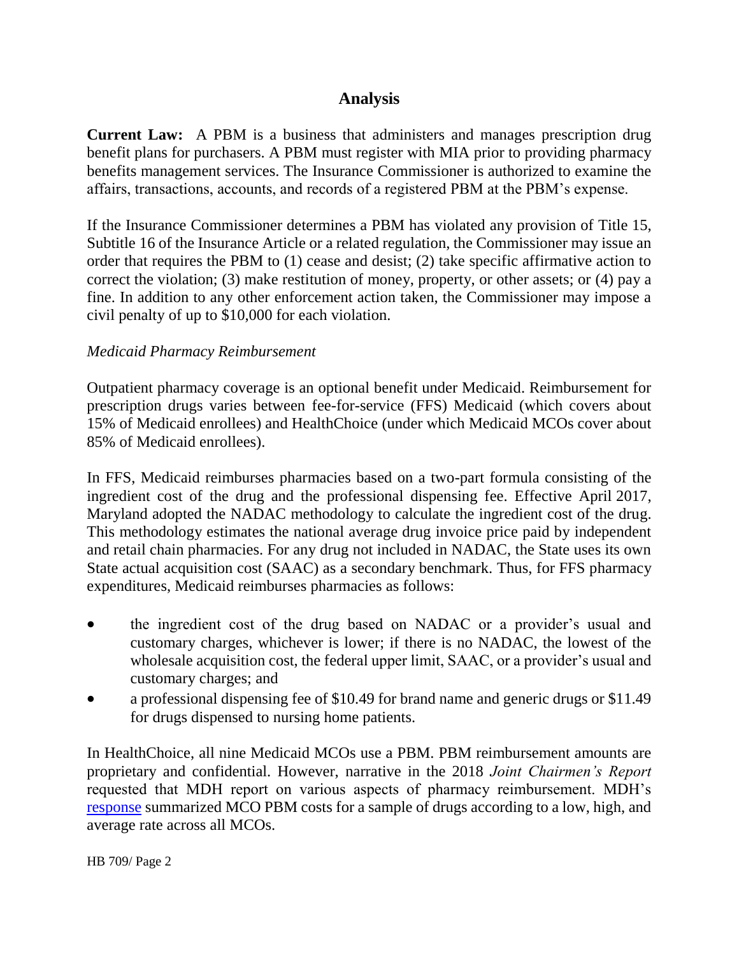## **Analysis**

**Current Law:** A PBM is a business that administers and manages prescription drug benefit plans for purchasers. A PBM must register with MIA prior to providing pharmacy benefits management services. The Insurance Commissioner is authorized to examine the affairs, transactions, accounts, and records of a registered PBM at the PBM's expense.

If the Insurance Commissioner determines a PBM has violated any provision of Title 15, Subtitle 16 of the Insurance Article or a related regulation, the Commissioner may issue an order that requires the PBM to (1) cease and desist; (2) take specific affirmative action to correct the violation; (3) make restitution of money, property, or other assets; or (4) pay a fine. In addition to any other enforcement action taken, the Commissioner may impose a civil penalty of up to \$10,000 for each violation.

### *Medicaid Pharmacy Reimbursement*

Outpatient pharmacy coverage is an optional benefit under Medicaid. Reimbursement for prescription drugs varies between fee-for-service (FFS) Medicaid (which covers about 15% of Medicaid enrollees) and HealthChoice (under which Medicaid MCOs cover about 85% of Medicaid enrollees).

In FFS, Medicaid reimburses pharmacies based on a two-part formula consisting of the ingredient cost of the drug and the professional dispensing fee. Effective April 2017, Maryland adopted the NADAC methodology to calculate the ingredient cost of the drug. This methodology estimates the national average drug invoice price paid by independent and retail chain pharmacies. For any drug not included in NADAC, the State uses its own State actual acquisition cost (SAAC) as a secondary benchmark. Thus, for FFS pharmacy expenditures, Medicaid reimburses pharmacies as follows:

- the ingredient cost of the drug based on NADAC or a provider's usual and customary charges, whichever is lower; if there is no NADAC, the lowest of the wholesale acquisition cost, the federal upper limit, SAAC, or a provider's usual and customary charges; and
- a professional dispensing fee of \$10.49 for brand name and generic drugs or \$11.49 for drugs dispensed to nursing home patients.

In HealthChoice, all nine Medicaid MCOs use a PBM. PBM reimbursement amounts are proprietary and confidential. However, narrative in the 2018 *Joint Chairmen's Report* requested that MDH report on various aspects of pharmacy reimbursement. MDH's [response](https://mmcp.health.maryland.gov/Documents/JCRs/2018/pharmacyPBMJCRfinal12-1.pdf) summarized MCO PBM costs for a sample of drugs according to a low, high, and average rate across all MCOs.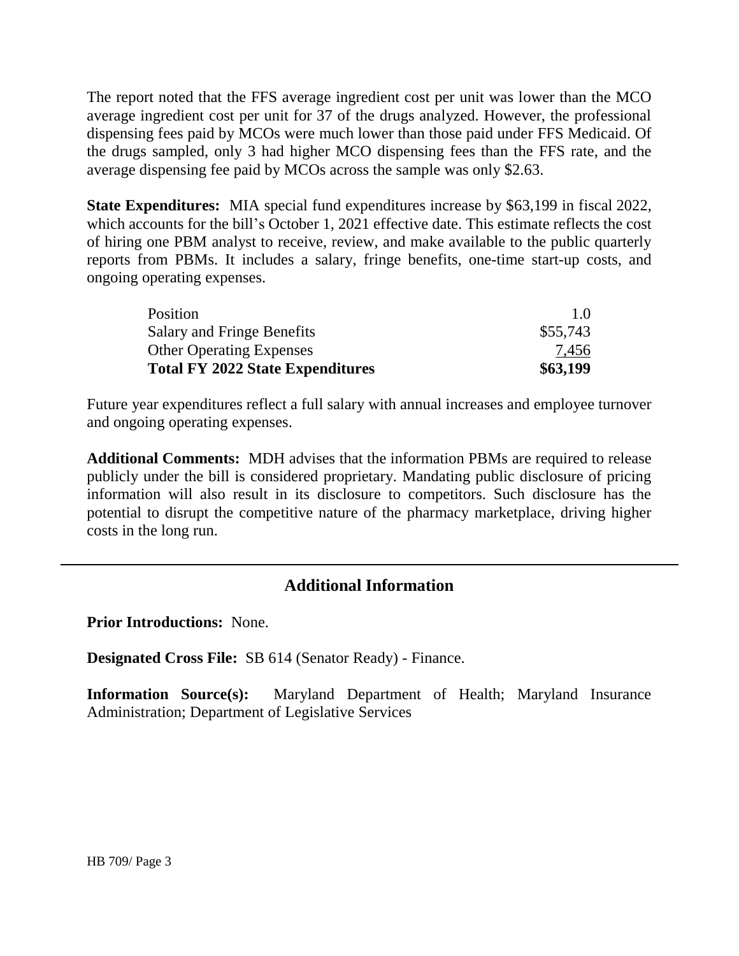The report noted that the FFS average ingredient cost per unit was lower than the MCO average ingredient cost per unit for 37 of the drugs analyzed. However, the professional dispensing fees paid by MCOs were much lower than those paid under FFS Medicaid. Of the drugs sampled, only 3 had higher MCO dispensing fees than the FFS rate, and the average dispensing fee paid by MCOs across the sample was only \$2.63.

**State Expenditures:** MIA special fund expenditures increase by \$63,199 in fiscal 2022, which accounts for the bill's October 1, 2021 effective date. This estimate reflects the cost of hiring one PBM analyst to receive, review, and make available to the public quarterly reports from PBMs. It includes a salary, fringe benefits, one-time start-up costs, and ongoing operating expenses.

| Position                                | $1.0^{\circ}$ |
|-----------------------------------------|---------------|
| <b>Salary and Fringe Benefits</b>       | \$55,743      |
| <b>Other Operating Expenses</b>         | 7.456         |
| <b>Total FY 2022 State Expenditures</b> | \$63,199      |

Future year expenditures reflect a full salary with annual increases and employee turnover and ongoing operating expenses.

**Additional Comments:** MDH advises that the information PBMs are required to release publicly under the bill is considered proprietary. Mandating public disclosure of pricing information will also result in its disclosure to competitors. Such disclosure has the potential to disrupt the competitive nature of the pharmacy marketplace, driving higher costs in the long run.

## **Additional Information**

**Prior Introductions:** None.

**Designated Cross File:** SB 614 (Senator Ready) - Finance.

**Information Source(s):** Maryland Department of Health; Maryland Insurance Administration; Department of Legislative Services